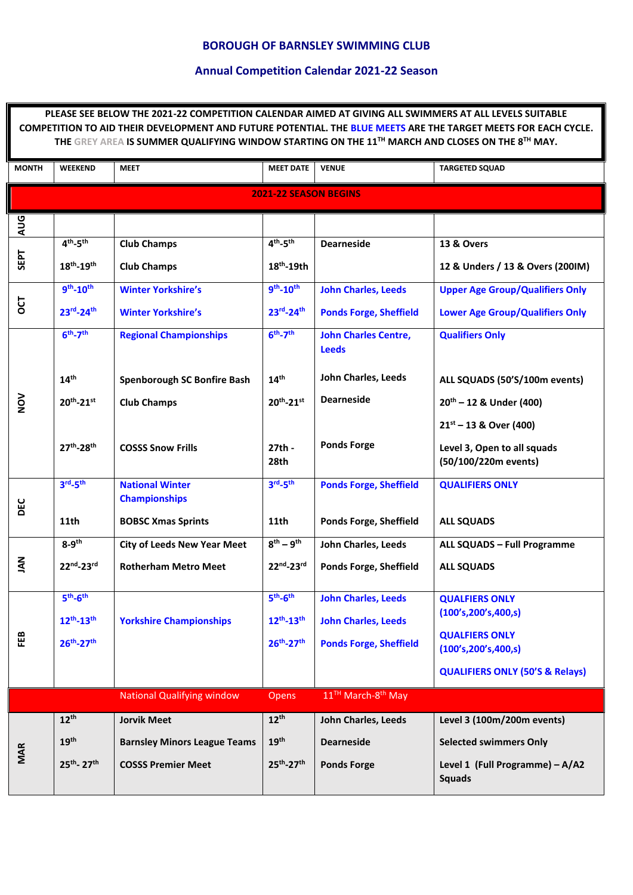## **BOROUGH OF BARNSLEY SWIMMING CLUB**

## **Annual Competition Calendar 2021-22 Season**

**PLEASE SEE BELOW THE 2021-22 COMPETITION CALENDAR AIMED AT GIVING ALL SWIMMERS AT ALL LEVELS SUITABLE COMPETITION TO AID THEIR DEVELOPMENT AND FUTURE POTENTIAL. THE BLUE MEETS ARE THE TARGET MEETS FOR EACH CYCLE. THE GREY AREA IS SUMMER QUALIFYING WINDOW STARTING ON THE 11TH MARCH AND CLOSES ON THE 8TH MAY. MONTH WEEKEND MEET MEET DATE VENUE TARGETED SQUAD 2021-22 SEASON BEGINS AUG SEPT 4 th -5 th 18th -19th Club Champs Club Champs 4 th -5 th 18th -19th Dearneside 13 & Overs 12 & Unders / 13 & Overs (200IM) OCT 9 th -10th 23rd -24th Winter Yorkshire's Winter Yorkshire's 9 th -10th 23rd -24th John Charles, Leeds Ponds Forge, Sheffield Upper Age Group/Qualifiers Only Lower Age Group/Qualifiers Only NOV 6 th -7 th 14th 20th -21st 27th -28th Regional Championships Spenborough SC Bonfire Bash Club Champs COSSS Snow Frills 6 th -7 th 14th 20th -21st 27th - 28th John Charles Centre, Leeds John Charles, Leeds Dearneside Ponds Forge Qualifiers Only ALL SQUADS (50'S/100m events) 20th – 12 & Under (400) 21st – 13 & Over (400) Level 3, Open to all squads (50/100/220m events) DEC 3 rd -5 th 11th National Winter Championships BOBSC Xmas Sprints 3 rd -5 th 11th Ponds Forge, Sheffield Ponds Forge, Sheffield QUALIFIERS ONLY ALL SQUADS JAN 8-9 th 22nd -23rd City of Leeds New Year Meet Rotherham Metro Meet 8 th – 9 th 22nd -23rd John Charles, Leeds Ponds Forge, Sheffield ALL SQUADS – Full Programme ALL SQUADS FEB 5 th -6 th 12th -13th 26th -27th Yorkshire Championships 5 th -6 th 12th -13th 26th -27th John Charles, Leeds John Charles, Leeds Ponds Forge, Sheffield QUALFIERS ONLY (100's,200's,400,s) QUALFIERS ONLY (100's,200's,400,s) QUALIFIERS ONLY (50'S & Relays)** National Qualifying window Opens 11<sup>TH</sup> March-8<sup>th</sup> May **MAR 12th 19th 25th - 27th Jorvik Meet Barnsley Minors League Teams COSSS Premier Meet 12th 19th 25th -27th John Charles, Leeds Dearneside Ponds Forge Level 3 (100m/200m events) Selected swimmers Only Level 1 (Full Programme) – A/A2 Squads**